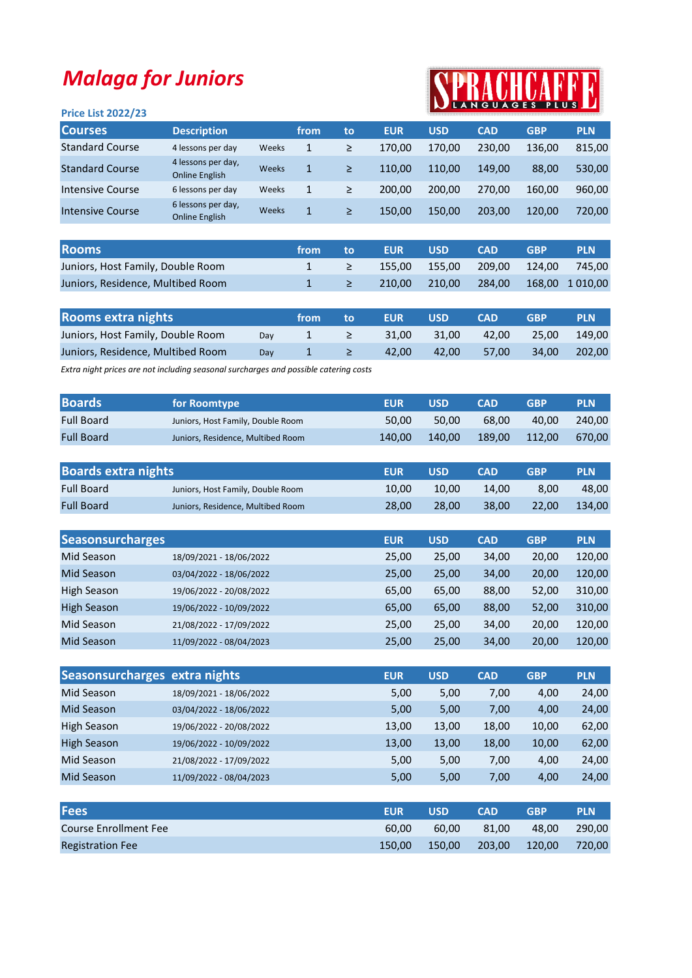## Malaga for Juniors

## Price List 2022/23

## SPRACHCARR

| <b>Courses</b>         | <b>Description</b>                          |       | from |    | <b>EUR</b> | <b>USD</b> | <b>CAD</b> | <b>GBP</b> | <b>PLN</b> |
|------------------------|---------------------------------------------|-------|------|----|------------|------------|------------|------------|------------|
|                        |                                             |       |      | to |            |            |            |            |            |
| <b>Standard Course</b> | 4 lessons per day                           | Weeks | 1    | ≥  | 170.00     | 170.00     | 230.00     | 136.00     | 815,00     |
| <b>Standard Course</b> | 4 lessons per day,<br><b>Online English</b> | Weeks |      | ≥  | 110.00     | 110.00     | 149.00     | 88,00      | 530,00     |
| Intensive Course       | 6 lessons per day                           | Weeks | 1    | ≥  | 200.00     | 200.00     | 270.00     | 160.00     | 960,00     |
| Intensive Course       | 6 lessons per day,<br>Online English        | Weeks | 1    | ≥  | 150.00     | 150.00     | 203.00     | 120.00     | 720,00     |
|                        |                                             |       |      |    |            |            |            |            |            |

| <b>Rooms</b>                      | from: | / to/ | <b>EUR</b>                                  | <b>USD</b> | <b>CAD</b> | GBP | <b>PLN</b> |
|-----------------------------------|-------|-------|---------------------------------------------|------------|------------|-----|------------|
| Juniors, Host Family, Double Room |       |       | $\geq$ 155.00 155.00 209.00 124.00 745.00   |            |            |     |            |
| Juniors, Residence, Multibed Room |       |       | $\geq$ 210,00 210,00 284,00 168,00 1 010,00 |            |            |     |            |

| <b>Rooms extra nights</b>         |     | from | ⊟ to          | <b>EUR</b> | <b>USD</b> | <b>CAD</b> | <b>GBP</b>         | <b>PLN</b>   |
|-----------------------------------|-----|------|---------------|------------|------------|------------|--------------------|--------------|
| Juniors, Host Family, Double Room | Dav |      | $\geq$ $\geq$ | 31.00      | 31.00      |            | 42.00 25.00 149.00 |              |
| Juniors, Residence, Multibed Room | Dav |      | . ≥ ∴         | 42.00      | 42.00      | 57.00      |                    | 34,00 202,00 |

Extra night prices are not including seasonal surcharges and possible catering costs

| <b>Boards</b>     | for Roomtype                      | <b>EUR</b> | <b>USD</b> | <b>CAD</b> | GRP    | <b>PLN</b> |
|-------------------|-----------------------------------|------------|------------|------------|--------|------------|
| <b>Full Board</b> | Juniors, Host Family, Double Room | 50.00      | 50.00      | 68.00      | 40.00  | 240.00     |
| <b>Full Board</b> | Juniors, Residence, Multibed Room | 140.00     | 140.00     | 189.00     | 112.00 | 670,00     |

| <b>Boards extra nights</b> |                                   | EUR   | <b>USD</b> | <b>CAD</b> | <b>GBP</b> | <b>PLN</b> |
|----------------------------|-----------------------------------|-------|------------|------------|------------|------------|
| <b>Full Board</b>          | Juniors, Host Family, Double Room | 10.00 | 10.00      | 14.00      | 8.00       | 48.00      |
| <b>Full Board</b>          | Juniors, Residence, Multibed Room | 28.00 | 28.00      | 38.00      | 22.00      | 134,00     |

| <b>Seasonsurcharges</b> |                         | <b>EUR</b> | <b>USD</b> | <b>CAD</b> | <b>GBP</b> | <b>PLN</b> |
|-------------------------|-------------------------|------------|------------|------------|------------|------------|
| Mid Season              | 18/09/2021 - 18/06/2022 | 25,00      | 25,00      | 34,00      | 20,00      | 120,00     |
| Mid Season              | 03/04/2022 - 18/06/2022 | 25,00      | 25,00      | 34,00      | 20,00      | 120,00     |
| <b>High Season</b>      | 19/06/2022 - 20/08/2022 | 65,00      | 65.00      | 88,00      | 52,00      | 310,00     |
| <b>High Season</b>      | 19/06/2022 - 10/09/2022 | 65,00      | 65,00      | 88,00      | 52,00      | 310,00     |
| Mid Season              | 21/08/2022 - 17/09/2022 | 25,00      | 25,00      | 34,00      | 20,00      | 120,00     |
| Mid Season              | 11/09/2022 - 08/04/2023 | 25,00      | 25,00      | 34,00      | 20,00      | 120,00     |

|                    | Seasonsurcharges extra nights | <b>EUR</b>  | <b>USD</b>       | <b>CAD</b> | <b>GBP</b> | <b>PLN</b>  |
|--------------------|-------------------------------|-------------|------------------|------------|------------|-------------|
| Mid Season         | 18/09/2021 - 18/06/2022       | 5,00        | 5,00             | 7,00       | 4,00       | 24,00       |
| Mid Season         | 03/04/2022 - 18/06/2022       | 5,00        | 5,00             | 7,00       | 4,00       | 24,00       |
| High Season        | 19/06/2022 - 20/08/2022       | 13,00       | 13,00            | 18,00      | 10,00      | 62,00       |
| <b>High Season</b> | 19/06/2022 - 10/09/2022       | 13,00       | 13,00            | 18,00      | 10,00      | 62,00       |
| Mid Season         | 21/08/2022 - 17/09/2022       | 5,00        | 5,00             | 7,00       | 4,00       | 24,00       |
| Mid Season         | 11/09/2022 - 08/04/2023       | 5,00        | 5,00             | 7,00       | 4,00       | 24,00       |
|                    |                               |             |                  |            |            |             |
| Enne               |                               | <b>CLID</b> | 110 <sub>D</sub> | CAD        | CDD        | <b>DIAL</b> |

| <b>Fees</b>             | <b>EUR</b> | <b>USD</b> | <b>CAD</b> | <b>GBP</b> | <b>PLN</b> |
|-------------------------|------------|------------|------------|------------|------------|
| Course Enrollment Fee   | 60.00      | 60.00      | 81.00      | 48.00      | 290.00     |
| <b>Registration Fee</b> | 150.00     | 150.00     | 203.00     | 120.00     | 720.00     |